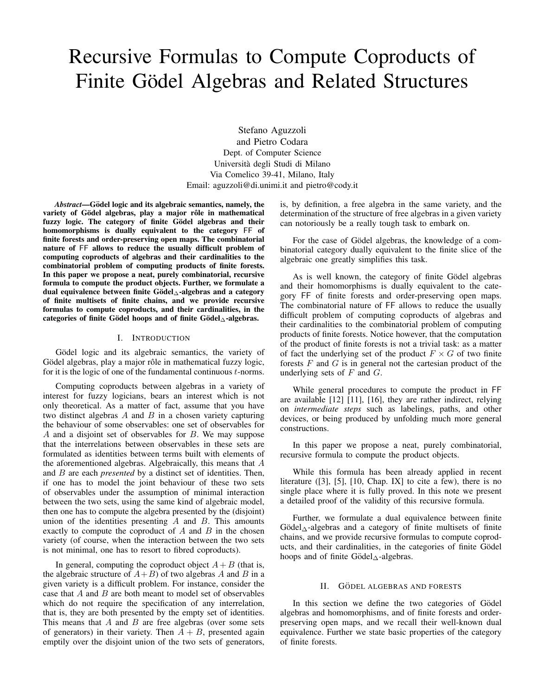# Recursive Formulas to Compute Coproducts of Finite Gödel Algebras and Related Structures

Stefano Aguzzoli and Pietro Codara Dept. of Computer Science Universita degli Studi di Milano ` Via Comelico 39-41, Milano, Italy Email: aguzzoli@di.unimi.it and pietro@cody.it

*Abstract*—Gödel logic and its algebraic semantics, namely, the variety of Gödel algebras, play a major rôle in mathematical fuzzy logic. The category of finite Gödel algebras and their homomorphisms is dually equivalent to the category FF of finite forests and order-preserving open maps. The combinatorial nature of FF allows to reduce the usually difficult problem of computing coproducts of algebras and their cardinalities to the combinatorial problem of computing products of finite forests. In this paper we propose a neat, purely combinatorial, recursive formula to compute the product objects. Further, we formulate a dual equivalence between finite Gödel $\triangle$ -algebras and a category of finite multisets of finite chains, and we provide recursive formulas to compute coproducts, and their cardinalities, in the categories of finite Gödel hoops and of finite Gödel $\triangle$ -algebras.

#### I. INTRODUCTION

Gödel logic and its algebraic semantics, the variety of Gödel algebras, play a major rôle in mathematical fuzzy logic, for it is the logic of one of the fundamental continuous  $t$ -norms.

Computing coproducts between algebras in a variety of interest for fuzzy logicians, bears an interest which is not only theoretical. As a matter of fact, assume that you have two distinct algebras  $A$  and  $B$  in a chosen variety capturing the behaviour of some observables: one set of observables for A and a disjoint set of observables for B. We may suppose that the interrelations between observables in these sets are formulated as identities between terms built with elements of the aforementioned algebras. Algebraically, this means that  $A$ and B are each *presented* by a distinct set of identities. Then, if one has to model the joint behaviour of these two sets of observables under the assumption of minimal interaction between the two sets, using the same kind of algebraic model, then one has to compute the algebra presented by the (disjoint) union of the identities presenting  $A$  and  $B$ . This amounts exactly to compute the coproduct of  $A$  and  $B$  in the chosen variety (of course, when the interaction between the two sets is not minimal, one has to resort to fibred coproducts).

In general, computing the coproduct object  $A + B$  (that is, the algebraic structure of  $A+B$ ) of two algebras A and B in a given variety is a difficult problem. For instance, consider the case that  $A$  and  $B$  are both meant to model set of observables which do not require the specification of any interrelation, that is, they are both presented by the empty set of identities. This means that  $A$  and  $B$  are free algebras (over some sets of generators) in their variety. Then  $A + B$ , presented again emptily over the disjoint union of the two sets of generators, is, by definition, a free algebra in the same variety, and the determination of the structure of free algebras in a given variety can notoriously be a really tough task to embark on.

For the case of Gödel algebras, the knowledge of a combinatorial category dually equivalent to the finite slice of the algebraic one greatly simplifies this task.

As is well known, the category of finite Gödel algebras and their homomorphisms is dually equivalent to the category FF of finite forests and order-preserving open maps. The combinatorial nature of FF allows to reduce the usually difficult problem of computing coproducts of algebras and their cardinalities to the combinatorial problem of computing products of finite forests. Notice however, that the computation of the product of finite forests is not a trivial task: as a matter of fact the underlying set of the product  $F \times G$  of two finite forests  $F$  and  $G$  is in general not the cartesian product of the underlying sets of  $F$  and  $G$ .

While general procedures to compute the product in FF are available [12] [11], [16], they are rather indirect, relying on *intermediate steps* such as labelings, paths, and other devices, or being produced by unfolding much more general constructions.

In this paper we propose a neat, purely combinatorial, recursive formula to compute the product objects.

While this formula has been already applied in recent literature ([3], [5], [10, Chap. IX] to cite a few), there is no single place where it is fully proved. In this note we present a detailed proof of the validity of this recursive formula.

Further, we formulate a dual equivalence between finite Gödel $\triangle$ -algebras and a category of finite multisets of finite chains, and we provide recursive formulas to compute coproducts, and their cardinalities, in the categories of finite Gödel hoops and of finite Gödel $\triangle$ -algebras.

#### II. GÖDEL ALGEBRAS AND FORESTS

In this section we define the two categories of Gödel algebras and homomorphisms, and of finite forests and orderpreserving open maps, and we recall their well-known dual equivalence. Further we state basic properties of the category of finite forests.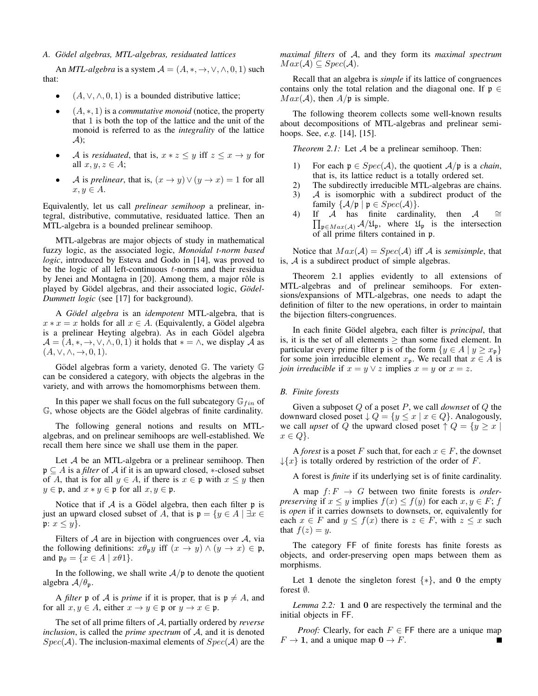#### *A. Godel algebras, MTL-algebras, residuated lattices ¨*

An *MTL-algebra* is a system  $A = (A, *, \rightarrow, \vee, \wedge, 0, 1)$  such that:

- $(A, \vee, \wedge, 0, 1)$  is a bounded distributive lattice;
- (A, ∗, 1) is a *commutative monoid* (notice, the property that 1 is both the top of the lattice and the unit of the monoid is referred to as the *integrality* of the lattice  $\mathcal{A}$ :
- A is *residuated*, that is,  $x * z \leq y$  iff  $z \leq x \rightarrow y$  for all  $x, y, z \in A$ ;
- *A* is *prelinear*, that is,  $(x \rightarrow y) \lor (y \rightarrow x) = 1$  for all  $x, y \in A$ .

Equivalently, let us call *prelinear semihoop* a prelinear, integral, distributive, commutative, residuated lattice. Then an MTL-algebra is a bounded prelinear semihoop.

MTL-algebras are major objects of study in mathematical fuzzy logic, as the associated logic, *Monoidal t-norm based logic*, introduced by Esteva and Godo in [14], was proved to be the logic of all left-continuous  $t$ -norms and their residua by Jenei and Montagna in [20]. Among them, a major rôle is played by Gödel algebras, and their associated logic, Gödel-*Dummett logic* (see [17] for background).

A *Gödel algebra* is an *idempotent* MTL-algebra, that is  $x * x = x$  holds for all  $x \in A$ . (Equivalently, a Gödel algebra is a prelinear Heyting algebra). As in each Gödel algebra  $\mathcal{A} = (A, *, \rightarrow, \vee, \wedge, 0, 1)$  it holds that  $* = \wedge$ , we display A as  $(A, \vee, \wedge, \rightarrow, 0, 1).$ 

Gödel algebras form a variety, denoted  $\mathbb G$ . The variety  $\mathbb G$ can be considered a category, with objects the algebras in the variety, and with arrows the homomorphisms between them.

In this paper we shall focus on the full subcategory  $\mathbb{G}_{fin}$  of G, whose objects are the Gödel algebras of finite cardinality.

The following general notions and results on MTLalgebras, and on prelinear semihoops are well-established. We recall them here since we shall use them in the paper.

Let A be an MTL-algebra or a prelinear semihoop. Then p ⊆ A is a *filter* of A if it is an upward closed, ∗-closed subset of A, that is for all  $y \in A$ , if there is  $x \in \mathfrak{p}$  with  $x \leq y$  then  $y \in \mathfrak{p}$ , and  $x * y \in \mathfrak{p}$  for all  $x, y \in \mathfrak{p}$ .

Notice that if  $A$  is a Gödel algebra, then each filter  $\mathfrak p$  is just an upward closed subset of A, that is  $\mathfrak{p} = \{y \in A \mid \exists x \in \mathbb{R} \mid \exists y \in A \mid \exists x \in \mathbb{R} \mid \exists z \in A \mid \exists z \in A \mid \exists z \in A \mid \exists z \in A \mid \exists z \in A \mid \exists z \in A \mid \exists z \in A \mid \exists z \in A \mid \exists z \in A \mid \exists z \in A \mid \exists z \in A \mid \exists z \in A \mid \exists z \in A \mid \exists z \in A \mid \exists z \in A \mid \exists z \in A \$ p:  $x \leq y$ .

Filters of  $A$  are in bijection with congruences over  $A$ , via the following definitions:  $x\theta_p y$  iff  $(x \to y) \land (y \to x) \in \mathfrak{p}$ , and  $\mathfrak{p}_{\theta} = \{x \in A \mid x\theta_1\}.$ 

In the following, we shall write  $A/p$  to denote the quotient algebra  $A/\theta_p$ .

A *filter*  $\mathfrak p$  of A is *prime* if it is proper, that is  $\mathfrak p \neq A$ , and for all  $x, y \in A$ , either  $x \to y \in \mathfrak{p}$  or  $y \to x \in \mathfrak{p}$ .

The set of all prime filters of A, partially ordered by *reverse inclusion*, is called the *prime spectrum* of A, and it is denoted  $Spec(\mathcal{A})$ . The inclusion-maximal elements of  $Spec(\mathcal{A})$  are the *maximal filters* of A, and they form its *maximal spectrum*  $Max(\mathcal{A}) \subseteq Spec(\mathcal{A}).$ 

Recall that an algebra is *simple* if its lattice of congruences contains only the total relation and the diagonal one. If  $\mathfrak{p} \in$  $Max(\mathcal{A})$ , then  $A/\mathfrak{p}$  is simple.

The following theorem collects some well-known results about decompositions of MTL-algebras and prelinear semihoops. See, *e.g.* [14], [15].

*Theorem 2.1:* Let A be a prelinear semihoop. Then:

- 1) For each  $p \in Spec(\mathcal{A})$ , the quotient  $\mathcal{A}/p$  is a *chain*, that is, its lattice reduct is a totally ordered set.
- 2) The subdirectly irreducible MTL-algebras are chains.
- 3) A is isomorphic with a subdirect product of the family  $\{A/\mathfrak{p} \mid \mathfrak{p} \in Spec(\mathcal{A})\}.$
- $4)$  $\prod_{\mathfrak{p} \in Max(\mathcal{A})} \mathcal{A}/\mathfrak{U}_{\mathfrak{p}}$ , where  $\mathfrak{U}_{\mathfrak{p}}$  is the intersection If A has finite cardinality, then  $A \cong$ of all prime filters contained in p.

Notice that  $Max(\mathcal{A}) = Spec(\mathcal{A})$  iff  $\mathcal A$  is *semisimple*, that is,  $A$  is a subdirect product of simple algebras.

Theorem 2.1 applies evidently to all extensions of MTL-algebras and of prelinear semihoops. For extensions/expansions of MTL-algebras, one needs to adapt the definition of filter to the new operations, in order to maintain the bijection filters-congruences.

In each finite Gödel algebra, each filter is *principal*, that is, it is the set of all elements  $\geq$  than some fixed element. In particular every prime filter p is of the form  $\{y \in A \mid y \geq x_p\}$ for some join irreducible element  $x_p$ . We recall that  $x \in A$  is *join irreducible* if  $x = y \lor z$  implies  $x = y$  or  $x = z$ .

#### *B. Finite forests*

Given a subposet Q of a poset P, we call *downset* of Q the downward closed poset  $\downarrow Q = \{y \leq x \mid x \in Q\}$ . Analogously, we call *upset* of Q the upward closed poset  $\uparrow$   $Q = \{y \ge x \mid$  $x \in Q$ .

A *forest* is a poset F such that, for each  $x \in F$ , the downset  $\downarrow$ {x} is totally ordered by restriction of the order of F.

A forest is *finite* if its underlying set is of finite cardinality.

A map  $f: F \to G$  between two finite forests is *orderpreserving* if  $x \leq y$  implies  $f(x) \leq f(y)$  for each  $x, y \in F$ ; f is *open* if it carries downsets to downsets, or, equivalently for each  $x \in F$  and  $y \le f(x)$  there is  $z \in F$ , with  $z \le x$  such that  $f(z) = y$ .

The category FF of finite forests has finite forests as objects, and order-preserving open maps between them as morphisms.

Let 1 denote the singleton forest  $\{*\}$ , and 0 the empty forest ∅.

*Lemma 2.2:* 1 and 0 are respectively the terminal and the initial objects in FF.

*Proof:* Clearly, for each  $F \in \mathsf{FF}$  there are a unique map  $F \to \mathbf{1}$ , and a unique map  $\mathbf{0} \to F$ .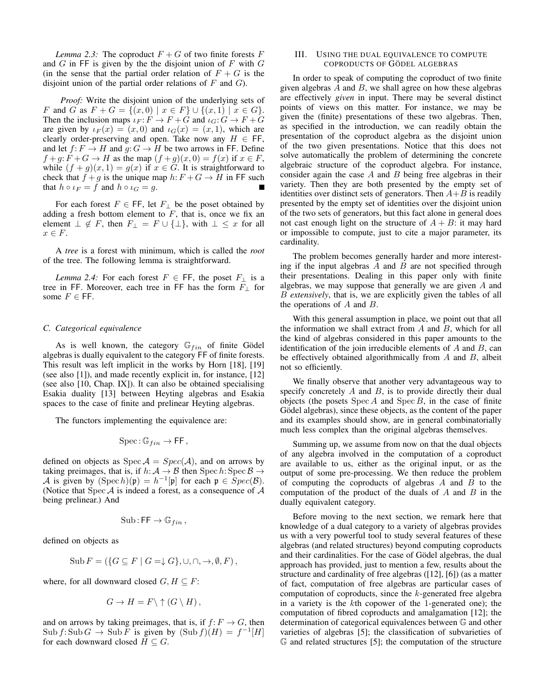*Lemma 2.3:* The coproduct  $F + G$  of two finite forests F and  $G$  in FF is given by the the disjoint union of  $F$  with  $G$ (in the sense that the partial order relation of  $F + G$  is the disjoint union of the partial order relations of  $F$  and  $G$ ).

*Proof:* Write the disjoint union of the underlying sets of F and G as  $F + G = \{(x, 0) \mid x \in F\} \cup \{(x, 1) \mid x \in G\}.$ Then the inclusion maps  $i_F : F \to F + \hat{G}$  and  $i_G : G \to F + \hat{G}$ are given by  $\iota_F(x) = (x, 0)$  and  $\iota_G(x) = (x, 1)$ , which are clearly order-preserving and open. Take now any  $H \in FF$ , and let  $f: F \to H$  and  $g: G \to H$  be two arrows in FF. Define  $f+g: \tilde{F}+G \to H$  as the map  $(f+g)(x, 0) = f(x)$  if  $x \in F$ , while  $(f + g)(x, 1) = g(x)$  if  $x \in G$ . It is straightforward to check that  $f + g$  is the unique map  $h: F + G \rightarrow H$  in FF such that  $h \circ \iota_F = f$  and  $h \circ \iota_G = g$ .

For each forest  $F \in \mathsf{FF}$ , let  $F_{\perp}$  be the poset obtained by adding a fresh bottom element to  $F$ , that is, once we fix an element  $\bot \notin F$ , then  $F_{\bot} = F \cup {\bot}$ , with  $\bot \leq x$  for all  $x \in F$ .

A *tree* is a forest with minimum, which is called the *root* of the tree. The following lemma is straightforward.

*Lemma 2.4:* For each forest  $F \in \mathsf{FF}$ , the poset  $F_{\perp}$  is a tree in FF. Moreover, each tree in FF has the form  $F_{\perp}$  for some  $F \in \mathsf{FF}$ .

#### *C. Categorical equivalence*

As is well known, the category  $\mathbb{G}_{fin}$  of finite Gödel algebras is dually equivalent to the category FF of finite forests. This result was left implicit in the works by Horn [18], [19] (see also [1]), and made recently explicit in, for instance, [12] (see also [10, Chap. IX]). It can also be obtained specialising Esakia duality [13] between Heyting algebras and Esakia spaces to the case of finite and prelinear Heyting algebras.

The functors implementing the equivalence are:

$$
\mathrm{Spec} \colon \mathbb{G}_{fin} \to \mathsf{FF},
$$

defined on objects as  $Spec \ A = Spec(A)$ , and on arrows by taking preimages, that is, if  $h: \mathcal{A} \to \mathcal{B}$  then  $\text{Spec } h: \text{Spec } \mathcal{B} \to$ A is given by  $(\text{Spec } h)(\mathfrak{p}) = h^{-1}[\mathfrak{p}]$  for each  $\mathfrak{p} \in \text{Spec}(\mathcal{B})$ . (Notice that Spec  $A$  is indeed a forest, as a consequence of  $A$ being prelinear.) And

$$
\mathrm{Sub} : \mathsf{FF} \to \mathbb{G}_{fin} \,,
$$

defined on objects as

$$
\text{Sub } F = (\{ G \subseteq F \mid G = \downarrow G \}, \cup, \cap, \rightarrow, \emptyset, F),
$$

where, for all downward closed  $G, H \subseteq F$ :

$$
G \to H = F \setminus \uparrow (G \setminus H),
$$

and on arrows by taking preimages, that is, if  $f: F \to G$ , then  $\text{Sub } f: \text{Sub } G \to \text{Sub } F$  is given by  $(\text{Sub } f)(H) = f^{-1}[H]$ for each downward closed  $H \subseteq G$ .

#### III. USING THE DUAL EQUIVALENCE TO COMPUTE COPRODUCTS OF GÖDEL ALGEBRAS

In order to speak of computing the coproduct of two finite given algebras  $A$  and  $B$ , we shall agree on how these algebras are effectively *given* in input. There may be several distinct points of views on this matter. For instance, we may be given the (finite) presentations of these two algebras. Then, as specified in the introduction, we can readily obtain the presentation of the coproduct algebra as the disjoint union of the two given presentations. Notice that this does not solve automatically the problem of determining the concrete algebraic structure of the coproduct algebra. For instance, consider again the case  $A$  and  $B$  being free algebras in their variety. Then they are both presented by the empty set of identities over distinct sets of generators. Then  $A+B$  is readily presented by the empty set of identities over the disjoint union of the two sets of generators, but this fact alone in general does not cast enough light on the structure of  $A + B$ : it may hard or impossible to compute, just to cite a major parameter, its cardinality.

The problem becomes generally harder and more interesting if the input algebras  $A$  and  $B$  are not specified through their presentations. Dealing in this paper only with finite algebras, we may suppose that generally we are given A and B *extensively*, that is, we are explicitly given the tables of all the operations of  $A$  and  $B$ .

With this general assumption in place, we point out that all the information we shall extract from  $A$  and  $B$ , which for all the kind of algebras considered in this paper amounts to the identification of the join irreducible elements of  $A$  and  $B$ , can be effectively obtained algorithmically from  $A$  and  $B$ , albeit not so efficiently.

We finally observe that another very advantageous way to specify concretely  $A$  and  $B$ , is to provide directly their dual objects (the posets  $Spec A$  and  $Spec B$ , in the case of finite Gödel algebras), since these objects, as the content of the paper and its examples should show, are in general combinatorially much less complex than the original algebras themselves.

Summing up, we assume from now on that the dual objects of any algebra involved in the computation of a coproduct are available to us, either as the original input, or as the output of some pre-processing. We then reduce the problem of computing the coproducts of algebras  $A$  and  $B$  to the computation of the product of the duals of  $A$  and  $B$  in the dually equivalent category.

Before moving to the next section, we remark here that knowledge of a dual category to a variety of algebras provides us with a very powerful tool to study several features of these algebras (and related structures) beyond computing coproducts and their cardinalities. For the case of Gödel algebras, the dual approach has provided, just to mention a few, results about the structure and cardinality of free algebras ([12], [6]) (as a matter of fact, computation of free algebras are particular cases of computation of coproducts, since the k-generated free algebra in a variety is the kth copower of the 1-generated one); the computation of fibred coproducts and amalgamation [12]; the determination of categorical equivalences between G and other varieties of algebras [5]; the classification of subvarieties of G and related structures [5]; the computation of the structure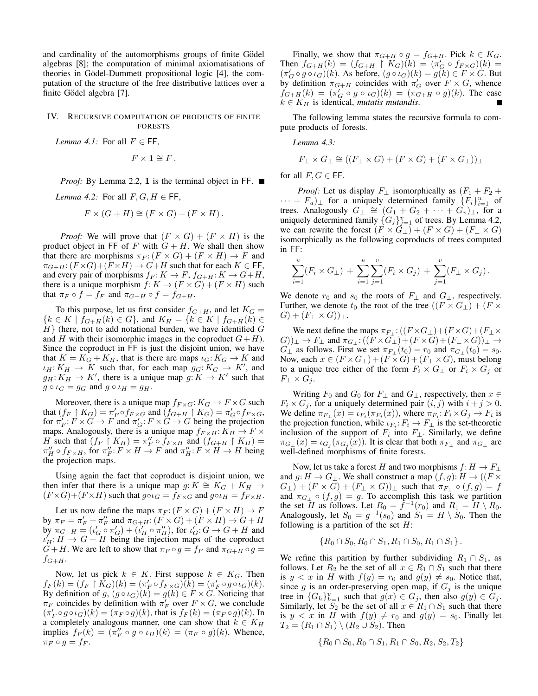and cardinality of the automorphisms groups of finite Gödel algebras [8]; the computation of minimal axiomatisations of theories in Gödel-Dummett propositional logic [4], the computation of the structure of the free distributive lattices over a finite Gödel algebra [7].

### IV. RECURSIVE COMPUTATION OF PRODUCTS OF FINITE FORESTS

*Lemma 4.1:* For all  $F \in FF$ ,

$$
F\times \mathbf{1}\cong F.
$$

*Proof:* By Lemma 2.2, 1 is the terminal object in FF. ■

*Lemma 4.2:* For all  $F, G, H \in \mathsf{FF}$ ,

$$
F \times (G + H) \cong (F \times G) + (F \times H).
$$

*Proof:* We will prove that  $(F \times G) + (F \times H)$  is the product object in FF of F with  $G + H$ . We shall then show that there are morphisms  $\pi_F$ :  $(F \times G) + (F \times H) \rightarrow F$  and  $\pi_{G+H}: (F \times G) + (F \times H) \to G+H$  such that for each  $K \in \mathsf{FF}$ , and every pair of morphisms  $f_F: K \to F$ ,  $f_{G+H}: K \to G+H$ , there is a unique morphism  $f: K \to (F \times G) + (F \times H)$  such that  $\pi_F \circ f = f_F$  and  $\pi_{G+H} \circ f = f_{G+H}$ .

To this purpose, let us first consider  $f_{G+H}$ , and let  $K_G =$  ${k \in K \mid f_{G+H}(k) \in G}$ , and  $K_H = {k \in K \mid f_{G+H}(k) \in G}$  $H$ } (here, not to add notational burden, we have identified  $G$ and H with their isomorphic images in the coproduct  $G+H$ ). Since the coproduct in FF is just the disjoint union, we have that  $K = K_G + K_H$ , that is there are maps  $\iota_G: K_G \to K$  and  $\iota_H: K_H \to K$  such that, for each map  $g_G: K_G \to K'$ , and  $g_H: K_H \to K'$ , there is a unique map  $g: K \to K'$  such that  $g \circ \iota_G = g_G$  and  $g \circ \iota_H = g_H$ .

Moreover, there is a unique map  $f_{F \times G}: K_G \to F \times G$  such that  $(f_F \upharpoonright K_G) = \pi'_F \circ f_{F \times G}$  and  $(f_{G+H} \upharpoonright K_G) = \pi'_G \circ f_{F \times G}$ , for  $\pi'_F$ :  $F \times G \to F$  and  $\pi'_G$ :  $F \times G \to G$  being the projection maps. Analogously, there is a unique map  $f_{F \times H}: K_H \to F \times$ H such that  $(f_F \restriction K_H) = \pi_F'' \circ f_{F \times H}$  and  $(f_{G+H} \restriction K_H) =$  $\pi''_H \circ f_{F \times H}$ , for  $\pi''_F : F \times H \to F$  and  $\pi''_H : F \times H \to H$  being the projection maps.

Using again the fact that coproduct is disjoint union, we then infer that there is a unique map g:  $K \cong K_G + K_H \to$  $(F \times G) + (F \times H)$  such that  $g \circ \iota_G = f_{F \times G}$  and  $g \circ \iota_H = f_{F \times H}$ .

Let us now define the maps  $\pi_F$ :  $(F \times G) + (F \times H) \rightarrow F$ by  $\pi_F = \pi'_F + \pi''_F$  and  $\pi_{G+H}: (F \times G) + (F \times H) \rightarrow G+H$ by  $\pi_{G+H} = (\iota'_G \circ \pi'_G) + (\iota'_H \circ \pi''_H)$ , for  $\iota'_G : G \to G+H$  and  $\iota'_H: H \to G + H$  being the injection maps of the coproduct  $G+H$ . We are left to show that  $\pi_F \circ g = f_F$  and  $\pi_{G+H} \circ g =$  $f_{G+H}$ .

Now, let us pick  $k \in K$ . First suppose  $k \in K_G$ . Then  $f_F(k) = (f_F \upharpoonright K_G)(k) = (\pi'_F \circ f_{F \times G})(k) = (\pi'_F \circ g \circ \iota_G)(k).$ By definition of  $g$ ,  $(g \circ \iota_G)(k) = g(k) \in F \times G$ . Noticing that  $\pi_F$  coincides by definition with  $\pi_F$  over  $F \times G$ , we conclude  $(\pi'_F \circ g \circ \iota_G)(k) = (\pi_F \circ g)(k)$ , that is  $f_F(k) = (\pi_F \circ g)(k)$ . In a completely analogous manner, one can show that  $k \in K_H$ implies  $f_F(k) = (\pi_F^{\prime\prime} \circ g \circ \iota_H)(k) = (\pi_F \circ g)(k)$ . Whence,  $\pi_F \circ g = f_F$ .

Finally, we show that  $\pi_{G+H} \circ g = f_{G+H}$ . Pick  $k \in K_G$ . Then  $f_{G+H}(k) = (f_{G+H} \upharpoonright K_G)(k) = (\pi_G \circ f_{F \times G})(k) =$  $(\pi'_G \circ g \circ \iota_G)(k)$ . As before,  $(g \circ \iota_G)(k) = g(k) \in F \times G$ . But by definition  $\pi_{G+H}$  coincides with  $\pi'_G$  over  $F \times G$ , whence  $f_{G+H}(k) = (\pi'_G \circ g \circ \iota_G)(k) = (\pi'_{G+H} \circ g)(k)$ . The case  $k \in K_H$  is identical, *mutatis mutandis*.

The following lemma states the recursive formula to compute products of forests.

*Lemma 4.3:*

$$
F_{\perp} \times G_{\perp} \cong ((F_{\perp} \times G) + (F \times G) + (F \times G_{\perp}))_{\perp}
$$

for all  $F, G \in \mathsf{FF}$ .

*Proof:* Let us display  $F_{\perp}$  isomorphically as  $(F_1 + F_2 +$  $\cdots + F_u)$  for a uniquely determined family  $\{F_i\}_{i=1}^u$  of trees. Analogously  $G_{\perp} \cong (G_1 + G_2 + \cdots + G_v)_{\perp}$ , for a uniquely determined family  $\{G_j\}_{j=1}^v$  of trees. By Lemma 4.2, we can rewrite the forest  $(F \times G_{\perp}) + (F \times G) + (F_{\perp} \times G)$ isomorphically as the following coproducts of trees computed in FF:

$$
\sum_{i=1}^{u} (F_i \times G_{\perp}) + \sum_{i=1}^{u} \sum_{j=1}^{v} (F_i \times G_j) + \sum_{j=1}^{v} (F_{\perp} \times G_j).
$$

We denote  $r_0$  and  $s_0$  the roots of  $F_{\perp}$  and  $G_{\perp}$ , respectively. Further, we denote  $t_0$  the root of the tree  $((F \times G_{\perp}) + (F \times G_{\perp})$  $G + (F_+ \times G))_+$ .

We next define the maps  $\pi_{F_{\perp}}$ :  $((F \times G_{\perp}) + (F \times G) + (F_{\perp} \times$  $(G)$ ) $\perp$   $\to$   $F_{\perp}$  and  $\pi_{G_{\perp}}$ :  $((F \times G_{\perp}) + (F \times G) + (F_{\perp} \times G))_{\perp}$   $\to$  $G_{\perp}$  as follows. First we set  $\pi_{F_{\perp}}(t_0) = r_0$  and  $\pi_{G_{\perp}}(t_0) = s_0$ . Now, each  $x \in (F \times G_{\perp}) + (F \times G) + (F_{\perp} \times G)$ , must belong to a unique tree either of the form  $F_i \times G_{\perp}$  or  $F_i \times G_j$  or  $F_{\perp} \times G_i$ .

Writing  $F_0$  and  $G_0$  for  $F_\perp$  and  $G_\perp$ , respectively, then  $x \in$  $F_i \times G_j$ , for a uniquely determined pair  $(i, j)$  with  $i + j > 0$ . We define  $\pi_{F_{\perp}}(x) = \iota_{F_i}(\pi_{F_i}(x))$ , where  $\pi_{F_i}: F_i \times G_j \to F_i$  is the projection function, while  $\iota_{F_i}: F_i \to F_{\perp}$  is the set-theoretic inclusion of the support of  $F_i$  into  $F_{\perp}$ . Similarly, we define  $\pi_{G_\perp}(x) = \iota_{G_j}(\pi_{G_j}(x))$ . It is clear that both  $\pi_{F_\perp}$  and  $\pi_{G_\perp}$  are well-defined morphisms of finite forests.

Now, let us take a forest H and two morphisms  $f: H \to F_{\perp}$ and  $g: H \to G_{\perp}$ . We shall construct a map  $(f, g): H \to ((F \times$  $G_{\perp}$ ) +  $(F \times G)$  +  $(F_{\perp} \times G)$ ) $_{\perp}$  such that  $\pi_{F_{\perp}} \circ (f,g) = f$ and  $\pi_{G_{\perp}} \circ (f, g) = g$ . To accomplish this task we partition the set H as follows. Let  $R_0 = \hat{f}^{-1}(r_0)$  and  $R_1 = H \setminus R_0$ . Analogously, let  $S_0 = g^{-1}(s_0)$  and  $S_1 = H \setminus S_0$ . Then the following is a partition of the set  $H$ :

$$
\{R_0 \cap S_0, R_0 \cap S_1, R_1 \cap S_0, R_1 \cap S_1\}.
$$

We refine this partition by further subdividing  $R_1 \cap S_1$ , as follows. Let  $R_2$  be the set of all  $x \in R_1 \cap S_1$  such that there is  $y < x$  in H with  $f(y) = r_0$  and  $g(y) \neq s_0$ . Notice that, since g is an order-preserving open map, if  $G_j$  is the unique tree in  ${G_h}_{h=1}^v$  such that  $g(x) \in G_j$ , then also  $g(y) \in G_j$ . Similarly, let  $S_2$  be the set of all  $x \in R_1 \cap S_1$  such that there is  $y < x$  in H with  $f(y) \neq r_0$  and  $g(y) = s_0$ . Finally let  $T_2 = (R_1 \cap S_1) \setminus (R_2 \cup S_2)$ . Then

$$
\{R_0 \cap S_0, R_0 \cap S_1, R_1 \cap S_0, R_2, S_2, T_2\}
$$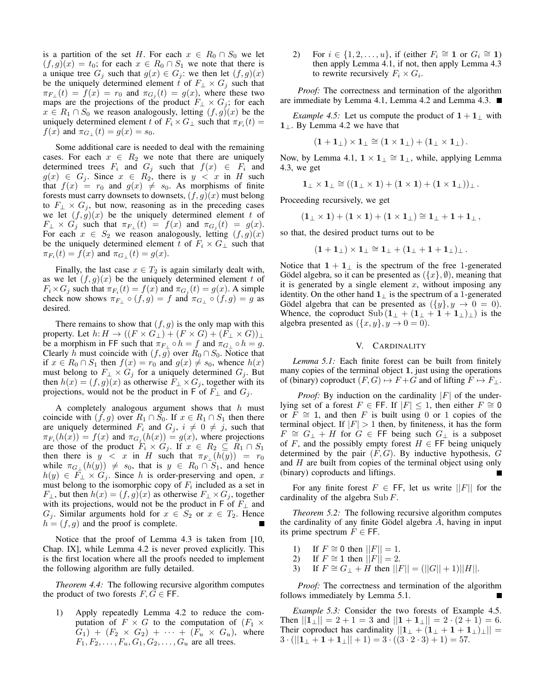is a partition of the set H. For each  $x \in R_0 \cap S_0$  we let  $(f, g)(x) = t_0$ ; for each  $x \in R_0 \cap S_1$  we note that there is a unique tree  $G_j$  such that  $g(x) \in G_j$ : we then let  $(f, g)(x)$ be the uniquely determined element t of  $F_{\perp} \times G_j$  such that  $\pi_{F_{\perp}}(t) = f(x) = r_0$  and  $\pi_{G_j}(t) = g(x)$ , where these two maps are the projections of the product  $F_{\perp} \times G_j$ ; for each  $x \in R_1 \cap S_0$  we reason analogously, letting  $(f, g)(x)$  be the uniquely determined element t of  $F_i \times G_{\perp}$  such that  $\pi_{F_i}(t) =$  $f(x)$  and  $\pi_{G_+}(t) = g(x) = s_0$ .

Some additional care is needed to deal with the remaining cases. For each  $x \in R_2$  we note that there are uniquely determined trees  $F_i$  and  $G_j$  such that  $f(x) \in F_i$  and  $g(x) \in G_j$ . Since  $x \in R_2$ , there is  $y < x$  in H such that  $f(x) = r_0$  and  $g(x) \neq s_0$ . As morphisms of finite forests must carry downsets to downsets,  $(f, g)(x)$  must belong to  $F_{\perp} \times G_i$ , but now, reasoning as in the preceding cases we let  $(f, g)(x)$  be the uniquely determined element t of  $F_{\perp} \times G_j$  such that  $\pi_{F_{\perp}}(t) = f(x)$  and  $\pi_{G_j}(t) = g(x)$ . For each  $x \in S_2$  we reason analogously, letting  $(f, g)(x)$ be the uniquely determined element t of  $F_i \times G_{\perp}$  such that  $\pi_{F_i}(t) = f(x)$  and  $\pi_{G_{\perp}}(t) = g(x)$ .

Finally, the last case  $x \in T_2$  is again similarly dealt with, as we let  $(f, g)(x)$  be the uniquely determined element t of  $F_i \times G_j$  such that  $\pi_{F_i}(t) = f(x)$  and  $\pi_{G_j}(t) = g(x)$ . A simple check now shows  $\pi_{F_{\perp}} \circ (f,g) = f$  and  $\pi_{G_{\perp}} \circ (f,g) = g$  as desired.

There remains to show that  $(f, g)$  is the only map with this property. Let  $h: H \to ((F \times G_{\perp}) + (F \times G) + (F_{\perp} \times G))_{\perp}$ be a morphism in FF such that  $\pi_{F_{\perp}} \circ h = f$  and  $\pi_{G_{\perp}} \circ h = g$ . Clearly h must coincide with  $(f, g)$  over  $R_0 \cap S_0$ . Notice that if  $x \in R_0 \cap S_1$  then  $f(x) = r_0$  and  $g(x) \neq s_0$ , whence  $h(x)$ must belong to  $F_{\perp} \times G_i$  for a uniquely determined  $G_i$ . But then  $h(x) = (f, g)(x)$  as otherwise  $F_{\perp} \times G_j$ , together with its projections, would not be the product in F of  $F_{\perp}$  and  $G_i$ .

A completely analogous argument shows that  $h$  must coincide with  $(f, g)$  over  $R_1 \cap S_0$ . If  $x \in R_1 \cap S_1$  then there are uniquely determined  $F_i$  and  $G_j$ ,  $i \neq 0 \neq j$ , such that  $\pi_{F_i}(h(x)) = f(x)$  and  $\pi_{G_j}(h(x)) = g(x)$ , where projections are those of the product  $F_i \times G_j$ . If  $x \in R_2 \subseteq R_1 \cap S_1$ then there is  $y < x$  in H such that  $\pi_{F_{\perp}}(h(y)) = r_0$ while  $\pi_{G_{\perp}}(h(y)) \neq s_0$ , that is  $y \in R_0 \cap S_1$ , and hence  $h(y) \in F_{\perp} \times G_i$ . Since h is order-preserving and open, x must belong to the isomorphic copy of  $F_i$  included as a set in  $F_{\perp}$ , but then  $h(x) = (f, g)(x)$  as otherwise  $F_{\perp} \times G_i$ , together with its projections, would not be the product in F of  $F_{\perp}$  and  $G_j$ . Similar arguments hold for  $x \in S_2$  or  $x \in T_2$ . Hence  $h = (f, g)$  and the proof is complete.

Notice that the proof of Lemma 4.3 is taken from [10, Chap. IX], while Lemma 4.2 is never proved explicitly. This is the first location where all the proofs needed to implement the following algorithm are fully detailed.

*Theorem 4.4:* The following recursive algorithm computes the product of two forests  $F, G \in \mathsf{FF}$ .

1) Apply repeatedly Lemma 4.2 to reduce the computation of  $F \times G$  to the computation of  $(F_1 \times$  $G_1$ ) +  $(F_2 \times G_2)$  +  $\cdots$  +  $(F_u \times G_u)$ , where  $F_1, F_2, \ldots, F_u, G_1, G_2, \ldots, G_u$  are all trees.

2) For  $i \in \{1, 2, \ldots, u\}$ , if (either  $F_i \cong \mathbf{1}$  or  $G_i \cong \mathbf{1}$ ) then apply Lemma 4.1, if not, then apply Lemma 4.3 to rewrite recursively  $F_i \times G_i$ .

*Proof:* The correctness and termination of the algorithm are immediate by Lemma 4.1, Lemma 4.2 and Lemma 4.3.

*Example 4.5:* Let us compute the product of  $1 + 1_$  with 1⊥. By Lemma 4.2 we have that

$$
(\mathbf{1} + \mathbf{1}_{\perp}) \times \mathbf{1}_{\perp} \cong (\mathbf{1} \times \mathbf{1}_{\perp}) + (\mathbf{1}_{\perp} \times \mathbf{1}_{\perp}).
$$

Now, by Lemma 4.1,  $1 \times 1_\perp \cong 1_\perp$ , while, applying Lemma 4.3, we get

$$
1_{\perp} \times 1_{\perp} \cong ((1_{\perp} \times 1) + (1 \times 1) + (1 \times 1_{\perp}))_{\perp}.
$$

Proceeding recursively, we get

$$
(\mathbf{1}_{\perp} \times \mathbf{1}) + (\mathbf{1} \times \mathbf{1}) + (\mathbf{1} \times \mathbf{1}_{\perp}) \cong \mathbf{1}_{\perp} + \mathbf{1} + \mathbf{1}_{\perp},
$$

so that, the desired product turns out to be

$$
(1+1_\perp)\times 1_\perp\cong 1_\perp+(1_\perp+1+1_\perp)_\perp\,.
$$

Notice that  $1 + 1_{\perp}$  is the spectrum of the free 1-generated Gödel algebra, so it can be presented as  $({x}, \emptyset)$ , meaning that it is generated by a single element  $x$ , without imposing any identity. On the other hand  $1_\perp$  is the spectrum of a 1-generated Gödel algebra that can be presented as  $({y}, y \rightarrow 0 = 0)$ . Whence, the coproduct  $\text{Sub} (\mathbf{1}_{\perp} + (\mathbf{1}_{\perp} + \mathbf{1} + \mathbf{1}_{\perp})_{\perp})$  is the algebra presented as  $({x, y}, y \rightarrow 0 = 0)$ .

#### V. CARDINALITY

*Lemma 5.1:* Each finite forest can be built from finitely many copies of the terminal object 1, just using the operations of (binary) coproduct  $(F, G) \mapsto F + G$  and of lifting  $F \mapsto F_{\perp}$ .

*Proof:* By induction on the cardinality  $|F|$  of the underlying set of a forest  $F \in \mathsf{FF}$ . If  $|F| \leq 1$ , then either  $F \cong 0$ or  $F \cong 1$ , and then F is built using 0 or 1 copies of the terminal object. If  $|F| > 1$  then, by finiteness, it has the form  $F \cong G_{\perp} + H$  for  $G \in \mathsf{FF}$  being such  $G_{\perp}$  is a subposet of F, and the possibly empty forest  $H \in \mathsf{FF}$  being uniquely determined by the pair  $(F, G)$ . By inductive hypothesis,  $G$ and H are built from copies of the terminal object using only (binary) coproducts and liftings.

For any finite forest  $F \in \mathsf{FF}$ , let us write  $||F||$  for the cardinality of the algebra  $\text{Sub } F$ .

*Theorem 5.2:* The following recursive algorithm computes the cardinality of any finite Gödel algebra  $A$ , having in input its prime spectrum  $F \in \mathsf{FF}$ .

- 1) If  $F \cong 0$  then  $||F|| = 1$ .
- 2) If  $F \cong 1$  then  $||F|| = 2$ .
- 3) If  $F \cong G_{\perp} + H$  then  $||F|| = (||G|| + 1)||H||$ .

*Proof:* The correctness and termination of the algorithm follows immediately by Lemma 5.1.

*Example 5.3:* Consider the two forests of Example 4.5. Then  $||\mathbf{1}_{\perp}|| = 2 + 1 = 3$  and  $||\mathbf{1} + \mathbf{1}_{\perp}|| = 2 \cdot (2 + 1) = 6$ . Their coproduct has cardinality  $||1_+ + (1_+ + 1_+)_{\perp}|| =$  $3 \cdot (||1_+ + 1_+ + 1_+|| + 1) = 3 \cdot ((3 \cdot 2 \cdot 3) + 1) = 57.$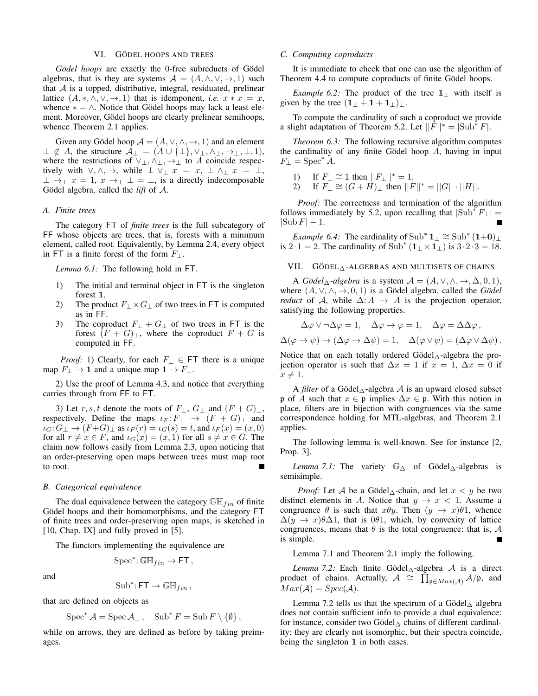#### VI. GÖDEL HOOPS AND TREES

*Gödel hoops* are exactly the 0-free subreducts of Gödel algebras, that is they are systems  $A = (A, \wedge, \vee, \rightarrow, 1)$  such that  $A$  is a topped, distributive, integral, residuated, prelinear lattice  $(A, *, \wedge, \vee, \rightarrow, 1)$  that is idemponent, *i.e.*  $x * x = x$ , whence  $* = \wedge$ . Notice that Gödel hoops may lack a least element. Moreover, Gödel hoops are clearly prelinear semihoops, whence Theorem 2.1 applies.

Given any Gödel hoop  $\mathcal{A} = (A, \vee, \wedge, \rightarrow, 1)$  and an element  $\perp \notin A$ , the structure  $\mathcal{A}_{\perp} = (A \cup \{\perp\}, \vee_{\perp}, \wedge_{\perp}, \rightarrow_{\perp}, \perp, 1),$ where the restrictions of  $\vee_{\perp}, \wedge_{\perp}, \rightarrow_{\perp}$  to A coincide respectively with  $\vee, \wedge, \rightarrow$ , while  $\perp \vee_{\perp} x = x, \perp \wedge_{\perp} x = \perp$ ,  $\perp \rightarrow_{\perp} x = 1, x \rightarrow_{\perp} \perp = \perp$ , is a directly indecomposable Gödel algebra, called the  $\textit{lift}$  of  $\mathcal{A}$ .

#### *A. Finite trees*

The category FT of *finite trees* is the full subcategory of FF whose objects are trees, that is, forests with a minimum element, called root. Equivalently, by Lemma 2.4, every object in FT is a finite forest of the form  $F_{\perp}$ .

*Lemma 6.1:* The following hold in FT.

- 1) The initial and terminal object in FT is the singleton forest 1.
- 2) The product  $F_{\perp} \times G_{\perp}$  of two trees in FT is computed as in FF.
- 3) The coproduct  $F_{\perp} + G_{\perp}$  of two trees in FT is the forest  $(F + G)_{\perp}$ , where the coproduct  $F + G$  is computed in FF.

*Proof:* 1) Clearly, for each  $F_{\perp} \in FT$  there is a unique map  $F_{\perp} \rightarrow 1$  and a unique map  $1 \rightarrow F_{\perp}$ .

2) Use the proof of Lemma 4.3, and notice that everything carries through from FF to FT.

3) Let r, s, t denote the roots of  $F_{\perp}$ ,  $G_{\perp}$  and  $(F+G)_{\perp}$ , respectively. Define the maps  $\iota_F: F_\perp \to (F+G)_\perp$  and  $\iota_G: G_\perp \to (F+G)_\perp$  as  $\iota_F(r) = \iota_G(s) = t$ , and  $\iota_F(x) = (x, 0)$ for all  $r \neq x \in F$ , and  $\iota_G(x) = (x, 1)$  for all  $s \neq x \in G$ . The claim now follows easily from Lemma 2.3, upon noticing that an order-preserving open maps between trees must map root to root.

#### *B. Categorical equivalence*

The dual equivalence between the category  $\mathbb{GH}_{fin}$  of finite Gödel hoops and their homomorphisms, and the category FT of finite trees and order-preserving open maps, is sketched in [10, Chap. IX] and fully proved in [5].

The functors implementing the equivalence are

$$
\mathrm{Spec}^*\colon \mathbb{GH}_{fin} \to \mathsf{FT}\,,
$$

and

$$
Sub^* \colon \mathsf{FT} \to \mathbb{GH}_{fin},
$$

that are defined on objects as

$$
\operatorname{Spec}^* A = \operatorname{Spec} \mathcal{A}_{\perp} , \quad \operatorname{Sub}^* F = \operatorname{Sub} F \setminus \{ \emptyset \} ,
$$

while on arrows, they are defined as before by taking preimages.

#### *C. Computing coproducts*

It is immediate to check that one can use the algorithm of Theorem 4.4 to compute coproducts of finite Gödel hoops.

*Example 6.2:* The product of the tree  $1_$  with itself is given by the tree  $(1_{\perp} + 1 + 1_{\perp})_{\perp}$ .

To compute the cardinality of such a coproduct we provide a slight adaptation of Theorem 5.2. Let  $||F||^* = |Sub^* F|$ .

*Theorem 6.3:* The following recursive algorithm computes the cardinality of any finite Gödel hoop  $A$ , having in input  $F_{\perp} = \text{Spec}^* A.$ 

- 1) If  $F_{\perp} \cong 1$  then  $||F_{\perp}||^* = 1$ .
- 2) If  $F_{\perp} \cong (G + H)_{\perp}$  then  $||F||^* = ||G|| \cdot ||H||$ .

*Proof:* The correctness and termination of the algorithm follows immediately by 5.2, upon recalling that  $|\text{Sub}^* F_{\perp}| =$  $|\text{Sub } F| - 1.$ 

*Example 6.4:* The cardinality of Sub<sup>\*</sup>  $1_\perp \cong$  Sub<sup>\*</sup>  $(1+0)_\perp$ is 2 · 1 = 2. The cardinality of  $\text{Sub}^*(1+\times1)$  is  $3 \cdot 2 \cdot 3 = 18$ .

### VII.  $G\ddot{\text{o}}$ DEL $_{\Delta}$ -ALGEBRAS AND MULTISETS OF CHAINS

A *Gödel*  $\triangle$ *-algebra* is a system  $\mathcal{A} = (A, \vee, \wedge, \rightarrow, \triangle, 0, 1)$ , where  $(A, \vee, \wedge, \rightarrow, 0, 1)$  is a Gödel algebra, called the *Gödel reduct* of A, while  $\Delta: A \rightarrow A$  is the projection operator, satisfying the following properties.

$$
\Delta \varphi \vee \neg \Delta \varphi = 1, \quad \Delta \varphi \to \varphi = 1, \quad \Delta \varphi = \Delta \Delta \varphi,
$$
  

$$
\Delta(\varphi \to \psi) \to (\Delta \varphi \to \Delta \psi) = 1, \quad \Delta(\varphi \vee \psi) = (\Delta \varphi \vee \Delta \psi).
$$

Notice that on each totally ordered Gödel $_\Delta$ -algebra the projection operator is such that  $\Delta x = 1$  if  $x = 1$ ,  $\Delta x = 0$  if  $x \neq 1$ .

A *filter* of a Gödel $_{\Delta}$ -algebra A is an upward closed subset p of A such that  $x \in \mathfrak{p}$  implies  $\Delta x \in \mathfrak{p}$ . With this notion in place, filters are in bijection with congruences via the same correspondence holding for MTL-algebras, and Theorem 2.1 applies.

The following lemma is well-known. See for instance [2, Prop. 3].

*Lemma 7.1:* The variety  $\mathbb{G}_{\Delta}$  of Gödel<sub>∆</sub>-algebras is semisimple.

*Proof:* Let A be a Gödel $_{\Delta}$ -chain, and let  $x < y$  be two distinct elements in A. Notice that  $y \to x < 1$ . Assume a congruence  $\theta$  is such that  $x\theta y$ . Then  $(y \rightarrow x)\theta$ 1, whence  $\Delta(y \to x)\theta \Delta 1$ , that is 0 $\theta$ 1, which, by convexity of lattice congruences, means that  $\theta$  is the total congruence: that is,  $\mathcal A$ is simple.

Lemma 7.1 and Theorem 2.1 imply the following.

*Lemma 7.2:* Each finite Gödel $\triangle$ -algebra A is a direct product of chains. Actually,  $\mathcal{A} \cong \prod_{\mathfrak{p} \in Max(\mathcal{A})}^{\infty} \mathcal{A}/\mathfrak{p}$ , and  $Max(\mathcal{A}) = Spec(\mathcal{A}).$ 

Lemma 7.2 tells us that the spectrum of a Gödel $_{\Delta}$  algebra does not contain sufficient info to provide a dual equivalence: for instance, consider two Gödel $_{\Delta}$  chains of different cardinality: they are clearly not isomorphic, but their spectra coincide, being the singleton 1 in both cases.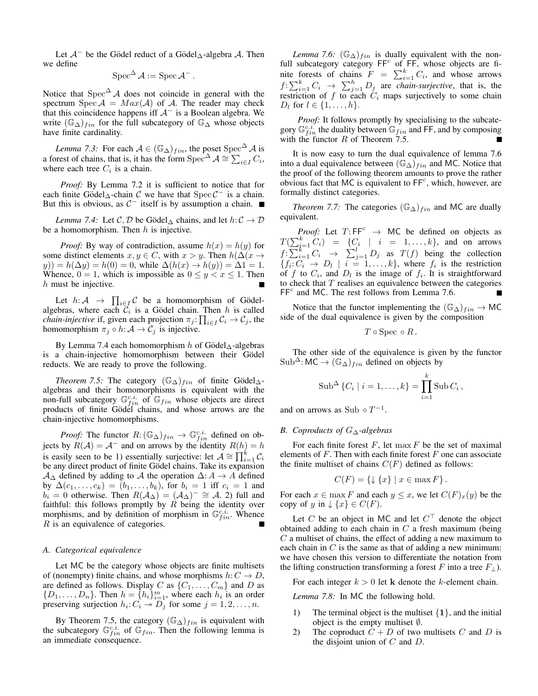Let  $\mathcal{A}^-$  be the Gödel reduct of a Gödel $_\Delta$ -algebra  $\mathcal{A}$ . Then we define

$$
\operatorname{Spec}^{\Delta} \mathcal{A} := \operatorname{Spec} \mathcal{A}^-.
$$

Notice that  $Spec^{\Delta} A$  does not coincide in general with the spectrum Spec  $A = Max(A)$  of A. The reader may check that this coincidence happens iff  $A^-$  is a Boolean algebra. We write  $(\mathbb{G}_{\Delta})_{fin}$  for the full subcategory of  $\mathbb{G}_{\Delta}$  whose objects have finite cardinality.

*Lemma 7.3:* For each  $A \in (\mathbb{G}_{\Delta})_{fin}$ , the poset Spec<sup> $\Delta$ </sup> A is a forest of chains, that is, it has the form Spec<sup>∆</sup>  $\mathcal{A} \cong \sum_{i \in I} C_i$ , where each tree  $C_i$  is a chain.

*Proof:* By Lemma 7.2 it is sufficient to notice that for each finite Gödel $_{\Delta}$ -chain C we have that Spec  $C^-$  is a chain. But this is obvious, as  $C^-$  itself is by assumption a chain.

*Lemma 7.4:* Let C, D be Gödel $_{\Delta}$  chains, and let  $h: \mathcal{C} \to \mathcal{D}$ be a homomorphism. Then  $h$  is injective.

*Proof:* By way of contradiction, assume  $h(x) = h(y)$  for some distinct elements  $x, y \in C$ , with  $x > y$ . Then  $h(\Delta(x \rightarrow$  $y$ )) =  $h(\Delta y) = h(0) = 0$ , while  $\Delta(h(x) \to h(y)) = \Delta 1 = 1$ . Whence,  $0 = 1$ , which is impossible as  $0 \le y < x \le 1$ . Then  $h$  must be injective.

Let  $h: \mathcal{A} \rightarrow \prod_{i \in I} \mathcal{C}$  be a homomorphism of Gödelalgebras, where each  $\mathcal{C}_i$  is a Gödel chain. Then h is called *chain-injective* if, given each projection  $\pi_j: \prod_{i \in I} C_i \to C_j$ , the homomorphism  $\pi_j \circ h: \mathcal{A} \to \mathcal{C}_j$  is injective.

By Lemma 7.4 each homomorphism h of Gödel $\Lambda$ -algebras is a chain-injective homomorphism between their Gödel reducts. We are ready to prove the following.

*Theorem 7.5:* The category  $(\mathbb{G}_{\Delta})_{fin}$  of finite Gödel $_{\Delta}$ algebras and their homomorphisms is equivalent with the non-full subcategory  $\mathbb{G}^{c.i.}_{fin}$  of  $\mathbb{G}_{fin}$  whose objects are direct products of finite Gödel chains, and whose arrows are the chain-injective homomorphisms.

*Proof:* The functor  $R: (\mathbb{G}_{\Delta})_{fin} \to \mathbb{G}_{fin}^{c.i.}$  defined on objects by  $R(A) = A^-$  and on arrows by the identity  $R(h) = h$ is easily seen to be 1) essentially surjective: let  $A \cong \prod_{i=1}^{k} C_i$ be any direct product of finite Gödel chains. Take its expansion  $A_{\Delta}$  defined by adding to A the operation  $\Delta: A \rightarrow A$  defined by  $\Delta(c_1, ..., c_k) = (b_1, ..., b_k)$ , for  $b_i = 1$  iff  $c_i = 1$  and  $b_i = 0$  otherwise. Then  $R(A_{\Delta}) = (A_{\Delta})^{-} \cong A_{\Delta}$  full and faithful: this follows promptly by  $R$  being the identity over morphisms, and by definition of morphism in  $\mathbb{G}^{c,i}_{fin}$ . Whence R is an equivalence of categories.

### *A. Categorical equivalence*

Let MC be the category whose objects are finite multisets of (nonempty) finite chains, and whose morphisms  $h: C \to D$ , are defined as follows. Display C as  $\{C_1, \ldots, C_m\}$  and D as  $\{D_1, \ldots, D_n\}$ . Then  $h = \{h_i\}_{i=1}^m$ , where each  $h_i$  is an order preserving surjection  $h_i: C_i \rightarrow D_j$  for some  $j = 1, 2, ..., n$ .

By Theorem 7.5, the category  $(\mathbb{G}_{\Delta})_{fin}$  is equivalent with the subcategory  $\mathbb{G}^{c,i}_{fin}$  of  $\mathbb{G}_{fin}$ . Then the following lemma is an immediate consequence.

*Lemma 7.6:*  $(\mathbb{G}_{\Delta})_{fin}$  is dually equivalent with the nonfull subcategory category  $FF^c$  of  $FF$ , whose objects are finite forests of chains  $F = \sum_{i=1}^{k} C_i$ , and whose arrows  $f: \sum_{i=1}^{k} C_i \rightarrow \sum_{j=1}^{h} D_j$  are *chain-surjective*, that is, the restriction of f to each  $C_i$  maps surjectively to some chain  $D_l$  for  $l \in \{1, \ldots, h\}.$ 

*Proof:* It follows promptly by specialising to the subcategory  $\mathbb{G}^{c,i}_{fin}$  the duality between  $\mathbb{G}_{fin}$  and FF, and by composing with the functor  $R$  of Theorem 7.5.

It is now easy to turn the dual equivalence of lemma 7.6 into a dual equivalence between  $(\mathbb{G}_{\Delta})_{fin}$  and MC. Notice that the proof of the following theorem amounts to prove the rather obvious fact that MC is equivalent to  $\mathsf{FF}^c$ , which, however, are formally distinct categories.

*Theorem 7.7:* The categories  $(\mathbb{G}_{\Delta})_{fin}$  and MC are dually equivalent.

*Proof:* Let  $T: FF^c \rightarrow MC$  be defined on objects as  $T(\sum_{i=1}^k C_i) = \{C_i \mid i = 1, \ldots, k\}, \text{ and on arrows}$  $f: \sum_{i=1}^{k} C_i \rightarrow \sum_{j=1}^{l} D_j$  as  $T(f)$  being the collection  ${f_i: C_i \rightarrow D_l \mid i = 1, \ldots, k}$ , where  $f_i$  is the restriction of f to  $C_i$ , and  $D_i$  is the image of  $f_i$ . It is straightforward to check that  $T$  realises an equivalence between the categories  $FF<sup>c</sup>$  and MC. The rest follows from Lemma 7.6.

Notice that the functor implementing the  $(\mathbb{G}_{\Delta})_{fin} \to \mathsf{MC}$ side of the dual equivalence is given by the composition

$$
T \circ \text{Spec} \circ R.
$$

The other side of the equivalence is given by the functor  $Sub^{\Delta}$ : MC  $\rightarrow (\mathbb{G}_{\Delta})_{fin}$  defined on objects by

Sub<sup>Δ</sup> {
$$
C_i | i = 1,..., k
$$
} =  $\prod_{i=1}^{k}$  Sub  $C_i$ ,

and on arrows as Sub  $\circ T^{-1}$ .

## *B. Coproducts of* G∆*-algebras*

For each finite forest  $F$ , let max  $F$  be the set of maximal elements of  $F$ . Then with each finite forest  $F$  one can associate the finite multiset of chains  $C(F)$  defined as follows:

$$
C(F) = \{ \downarrow \{x\} \mid x \in \max F \}
$$

For each  $x \in \max F$  and each  $y \leq x$ , we let  $C(F)_x(y)$  be the copy of y in  $\downarrow \{x\} \in C(F)$ .

Let C be an object in MC and let  $C<sup>T</sup>$  denote the object obtained adding to each chain in  $C$  a fresh maximum (being C a multiset of chains, the effect of adding a new maximum to each chain in  $C$  is the same as that of adding a new minimum: we have chosen this version to differentiate the notation from the lifting construction transforming a forest F into a tree  $F_{\perp}$ ).

For each integer  $k > 0$  let k denote the k-element chain.

*Lemma 7.8:* In MC the following hold.

- 1) The terminal object is the multiset  $\{1\}$ , and the initial object is the empty multiset ∅.
- 2) The coproduct  $C + D$  of two multisets C and D is the disjoint union of  $C$  and  $D$ .